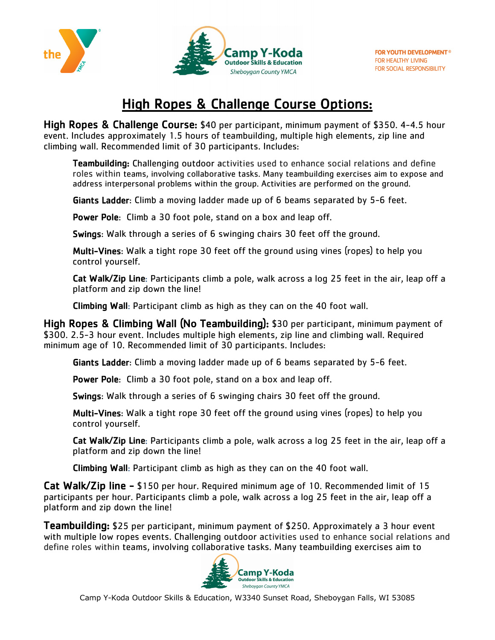



## **High Ropes & Challenge Course Options:**

High Ropes & Challenge Course: \$40 per participant, minimum payment of \$350. 4-4.5 hour event. Includes approximately 1.5 hours of teambuilding, multiple high elements, zip line and climbing wall. Recommended limit of 30 participants. Includes:

Teambuilding: Challenging outdoor activities used to enhance social relations and define roles within teams, involving collaborative tasks. Many teambuilding exercises aim to expose and address interpersonal problems within the group. Activities are performed on the ground.

Giants Ladder: Climb a moving ladder made up of 6 beams separated by 5-6 feet.

Power Pole: Climb a 30 foot pole, stand on a box and leap off.

Swings: Walk through a series of 6 swinging chairs 30 feet off the ground.

Multi-Vines: Walk a tight rope 30 feet off the ground using vines (ropes) to help you control yourself.

Cat Walk/Zip Line: Participants climb a pole, walk across a log 25 feet in the air, leap off a platform and zip down the line!

Climbing Wall: Participant climb as high as they can on the 40 foot wall.

High Ropes & Climbing Wall (No Teambuilding): \$30 per participant, minimum payment of \$300. 2.5-3 hour event. Includes multiple high elements, zip line and climbing wall. Required minimum age of 10. Recommended limit of 30 participants. Includes:

Giants Ladder: Climb a moving ladder made up of 6 beams separated by 5-6 feet.

Power Pole: Climb a 30 foot pole, stand on a box and leap off.

Swings: Walk through a series of 6 swinging chairs 30 feet off the ground.

Multi-Vines: Walk a tight rope 30 feet off the ground using vines (ropes) to help you control yourself.

Cat Walk/Zip Line: Participants climb a pole, walk across a log 25 feet in the air, leap off a platform and zip down the line!

Climbing Wall: Participant climb as high as they can on the 40 foot wall.

Cat Walk/Zip line - \$150 per hour. Required minimum age of 10. Recommended limit of 15 participants per hour. Participants climb a pole, walk across a log 25 feet in the air, leap off a platform and zip down the line!

Teambuilding: \$25 per participant, minimum payment of \$250. Approximately a 3 hour event with multiple low ropes events. Challenging outdoor activities used to enhance social relations and define roles within teams, involving collaborative tasks. Many teambuilding exercises aim to